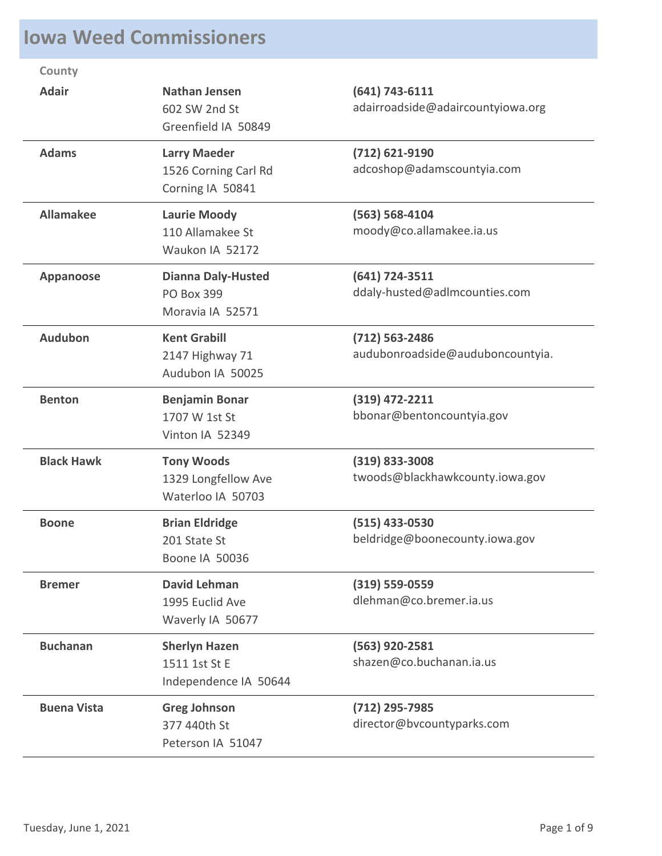## **Iowa Weed Commissioners**

| County             |                                                                    |                                                        |
|--------------------|--------------------------------------------------------------------|--------------------------------------------------------|
| <b>Adair</b>       | <b>Nathan Jensen</b><br>602 SW 2nd St<br>Greenfield IA 50849       | (641) 743-6111<br>adairroadside@adaircountyiowa.org    |
| <b>Adams</b>       | <b>Larry Maeder</b><br>1526 Corning Carl Rd<br>Corning IA 50841    | $(712)$ 621-9190<br>adcoshop@adamscountyia.com         |
| <b>Allamakee</b>   | <b>Laurie Moody</b><br>110 Allamakee St<br>Waukon IA 52172         | $(563) 568 - 4104$<br>moody@co.allamakee.ia.us         |
| Appanoose          | <b>Dianna Daly-Husted</b><br><b>PO Box 399</b><br>Moravia IA 52571 | $(641) 724 - 3511$<br>ddaly-husted@adlmcounties.com    |
| <b>Audubon</b>     | <b>Kent Grabill</b><br>2147 Highway 71<br>Audubon IA 50025         | $(712) 563 - 2486$<br>audubonroadside@auduboncountyia. |
| <b>Benton</b>      | <b>Benjamin Bonar</b><br>1707 W 1st St<br>Vinton IA 52349          | (319) 472-2211<br>bbonar@bentoncountyia.gov            |
| <b>Black Hawk</b>  | <b>Tony Woods</b><br>1329 Longfellow Ave<br>Waterloo IA 50703      | $(319)$ 833-3008<br>twoods@blackhawkcounty.iowa.gov    |
| <b>Boone</b>       | <b>Brian Eldridge</b><br>201 State St<br>Boone IA 50036            | (515) 433-0530<br>beldridge@boonecounty.iowa.gov       |
| <b>Bremer</b>      | <b>David Lehman</b><br>1995 Euclid Ave<br>Waverly IA 50677         | $(319) 559 - 0559$<br>dlehman@co.bremer.ia.us          |
| <b>Buchanan</b>    | <b>Sherlyn Hazen</b><br>1511 1st St E<br>Independence IA 50644     | (563) 920-2581<br>shazen@co.buchanan.ia.us             |
| <b>Buena Vista</b> | <b>Greg Johnson</b><br>377 440th St<br>Peterson IA 51047           | (712) 295-7985<br>director@bvcountyparks.com           |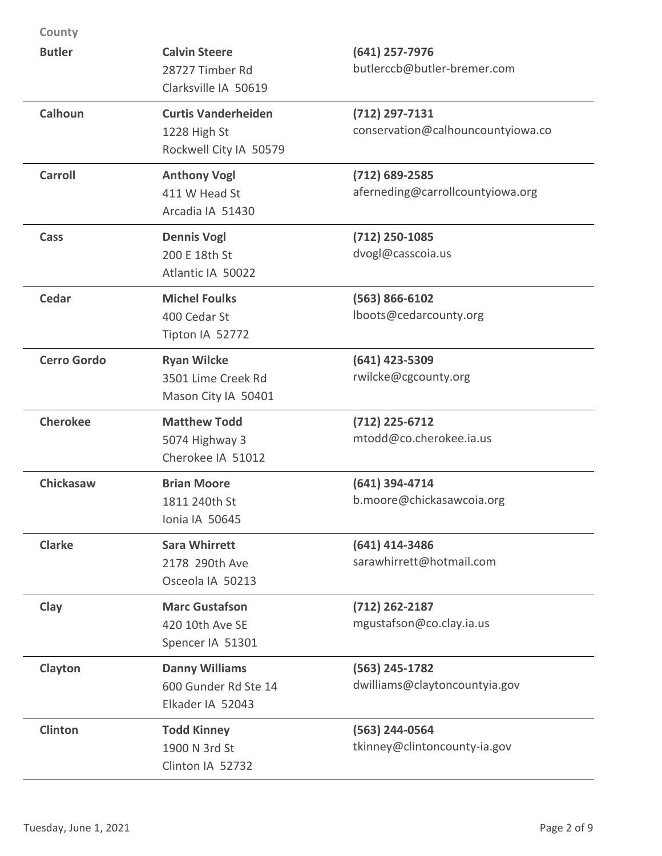| County             |                                                                      |                                                       |
|--------------------|----------------------------------------------------------------------|-------------------------------------------------------|
| <b>Butler</b>      | <b>Calvin Steere</b><br>28727 Timber Rd<br>Clarksville IA 50619      | $(641)$ 257-7976<br>butlerccb@butler-bremer.com       |
| <b>Calhoun</b>     | <b>Curtis Vanderheiden</b><br>1228 High St<br>Rockwell City IA 50579 | $(712)$ 297-7131<br>conservation@calhouncountyiowa.co |
| <b>Carroll</b>     | <b>Anthony Vogl</b><br>411 W Head St<br>Arcadia IA 51430             | $(712)$ 689-2585<br>aferneding@carrollcountyiowa.org  |
| Cass               | <b>Dennis Vogl</b><br>200 E 18th St<br>Atlantic IA 50022             | $(712)$ 250-1085<br>dvogl@casscoia.us                 |
| <b>Cedar</b>       | <b>Michel Foulks</b><br>400 Cedar St<br>Tipton IA 52772              | $(563) 866 - 6102$<br>lboots@cedarcounty.org          |
| <b>Cerro Gordo</b> | <b>Ryan Wilcke</b><br>3501 Lime Creek Rd<br>Mason City IA 50401      | (641) 423-5309<br>rwilcke@cgcounty.org                |
| <b>Cherokee</b>    | <b>Matthew Todd</b><br>5074 Highway 3<br>Cherokee IA 51012           | $(712)$ 225-6712<br>mtodd@co.cherokee.ia.us           |
| Chickasaw          | <b>Brian Moore</b><br>1811 240th St<br>Ionia IA 50645                | $(641)$ 394-4714<br>b.moore@chickasawcoia.org         |
| <b>Clarke</b>      | <b>Sara Whirrett</b><br>2178 290th Ave<br>Osceola IA 50213           | (641) 414-3486<br>sarawhirrett@hotmail.com            |
| Clay               | <b>Marc Gustafson</b><br>420 10th Ave SE<br>Spencer IA 51301         | $(712)$ 262-2187<br>mgustafson@co.clay.ia.us          |
| Clayton            | <b>Danny Williams</b><br>600 Gunder Rd Ste 14<br>Elkader IA 52043    | (563) 245-1782<br>dwilliams@claytoncountyia.gov       |
| Clinton            | <b>Todd Kinney</b><br>1900 N 3rd St<br>Clinton IA 52732              | (563) 244-0564<br>tkinney@clintoncounty-ia.gov        |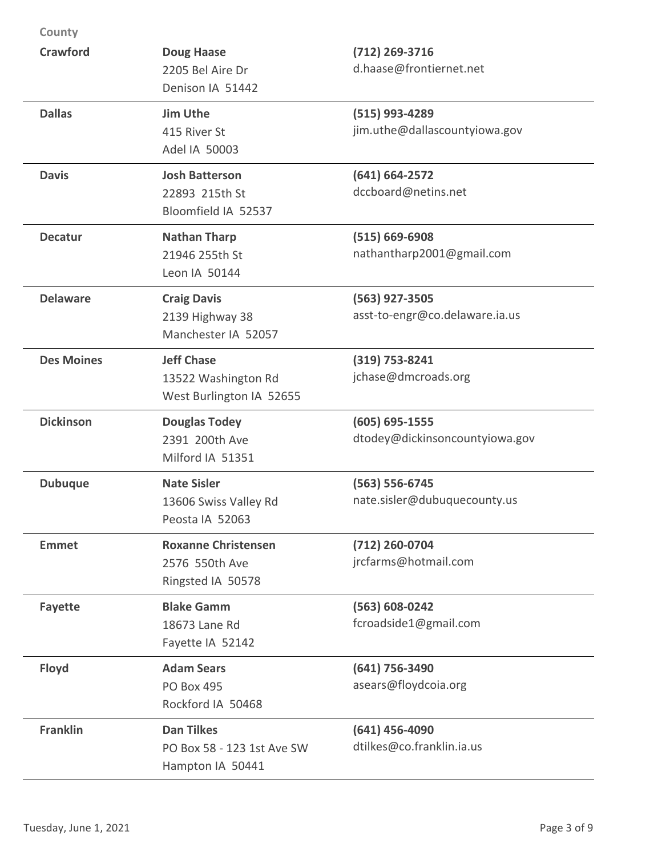| County            |                                                                      |                                                      |
|-------------------|----------------------------------------------------------------------|------------------------------------------------------|
| <b>Crawford</b>   | <b>Doug Haase</b><br>2205 Bel Aire Dr<br>Denison IA 51442            | $(712)$ 269-3716<br>d.haase@frontiernet.net          |
| <b>Dallas</b>     | <b>Jim Uthe</b><br>415 River St<br>Adel IA 50003                     | (515) 993-4289<br>jim.uthe@dallascountyiowa.gov      |
| <b>Davis</b>      | <b>Josh Batterson</b><br>22893 215th St<br>Bloomfield IA 52537       | $(641) 664 - 2572$<br>dccboard@netins.net            |
| <b>Decatur</b>    | <b>Nathan Tharp</b><br>21946 255th St<br>Leon IA 50144               | $(515) 669 - 6908$<br>nathantharp2001@gmail.com      |
| <b>Delaware</b>   | <b>Craig Davis</b><br>2139 Highway 38<br>Manchester IA 52057         | (563) 927-3505<br>asst-to-engr@co.delaware.ia.us     |
| <b>Des Moines</b> | <b>Jeff Chase</b><br>13522 Washington Rd<br>West Burlington IA 52655 | $(319)$ 753-8241<br>jchase@dmcroads.org              |
| <b>Dickinson</b>  | <b>Douglas Todey</b><br>2391 200th Ave<br>Milford IA 51351           | $(605) 695 - 1555$<br>dtodey@dickinsoncountyiowa.gov |
| <b>Dubuque</b>    | <b>Nate Sisler</b><br>13606 Swiss Valley Rd<br>Peosta IA 52063       | $(563) 556-6745$<br>nate.sisler@dubuquecounty.us     |
| <b>Emmet</b>      | <b>Roxanne Christensen</b><br>2576 550th Ave<br>Ringsted IA 50578    | (712) 260-0704<br>jrcfarms@hotmail.com               |
| <b>Fayette</b>    | <b>Blake Gamm</b><br>18673 Lane Rd<br>Fayette IA 52142               | (563) 608-0242<br>fcroadside1@gmail.com              |
| <b>Floyd</b>      | <b>Adam Sears</b><br><b>PO Box 495</b><br>Rockford IA 50468          | (641) 756-3490<br>asears@floydcoia.org               |
| <b>Franklin</b>   | <b>Dan Tilkes</b><br>PO Box 58 - 123 1st Ave SW<br>Hampton IA 50441  | $(641)$ 456-4090<br>dtilkes@co.franklin.ia.us        |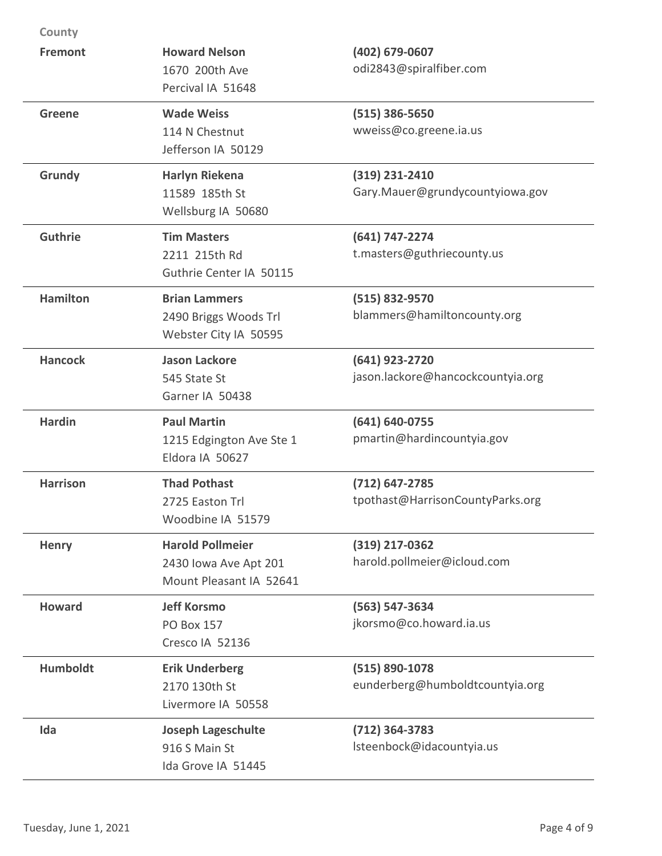| County          |                                                                             |                                                      |
|-----------------|-----------------------------------------------------------------------------|------------------------------------------------------|
| <b>Fremont</b>  | <b>Howard Nelson</b><br>1670 200th Ave<br>Percival IA 51648                 | (402) 679-0607<br>odi2843@spiralfiber.com            |
| <b>Greene</b>   | <b>Wade Weiss</b><br>114 N Chestnut<br>Jefferson IA 50129                   | $(515)$ 386-5650<br>wweiss@co.greene.ia.us           |
| Grundy          | <b>Harlyn Riekena</b><br>11589 185th St<br>Wellsburg IA 50680               | $(319)$ 231-2410<br>Gary.Mauer@grundycountyiowa.gov  |
| <b>Guthrie</b>  | <b>Tim Masters</b><br>2211 215th Rd<br>Guthrie Center IA 50115              | (641) 747-2274<br>t.masters@guthriecounty.us         |
| <b>Hamilton</b> | <b>Brian Lammers</b><br>2490 Briggs Woods Trl<br>Webster City IA 50595      | $(515) 832 - 9570$<br>blammers@hamiltoncounty.org    |
| <b>Hancock</b>  | <b>Jason Lackore</b><br>545 State St<br>Garner IA 50438                     | (641) 923-2720<br>jason.lackore@hancockcountyia.org  |
| <b>Hardin</b>   | <b>Paul Martin</b><br>1215 Edgington Ave Ste 1<br>Eldora IA 50627           | (641) 640-0755<br>pmartin@hardincountyia.gov         |
| <b>Harrison</b> | <b>Thad Pothast</b><br>2725 Easton Trl<br>Woodbine IA 51579                 | $(712)$ 647-2785<br>tpothast@HarrisonCountyParks.org |
| <b>Henry</b>    | <b>Harold Pollmeier</b><br>2430 Iowa Ave Apt 201<br>Mount Pleasant IA 52641 | (319) 217-0362<br>harold.pollmeier@icloud.com        |
| <b>Howard</b>   | <b>Jeff Korsmo</b><br><b>PO Box 157</b><br>Cresco IA 52136                  | (563) 547-3634<br>jkorsmo@co.howard.ia.us            |
| <b>Humboldt</b> | <b>Erik Underberg</b><br>2170 130th St<br>Livermore IA 50558                | (515) 890-1078<br>eunderberg@humboldtcountyia.org    |
| Ida             | <b>Joseph Lageschulte</b><br>916 S Main St<br>Ida Grove IA 51445            | $(712)$ 364-3783<br>Isteenbock@idacountyia.us        |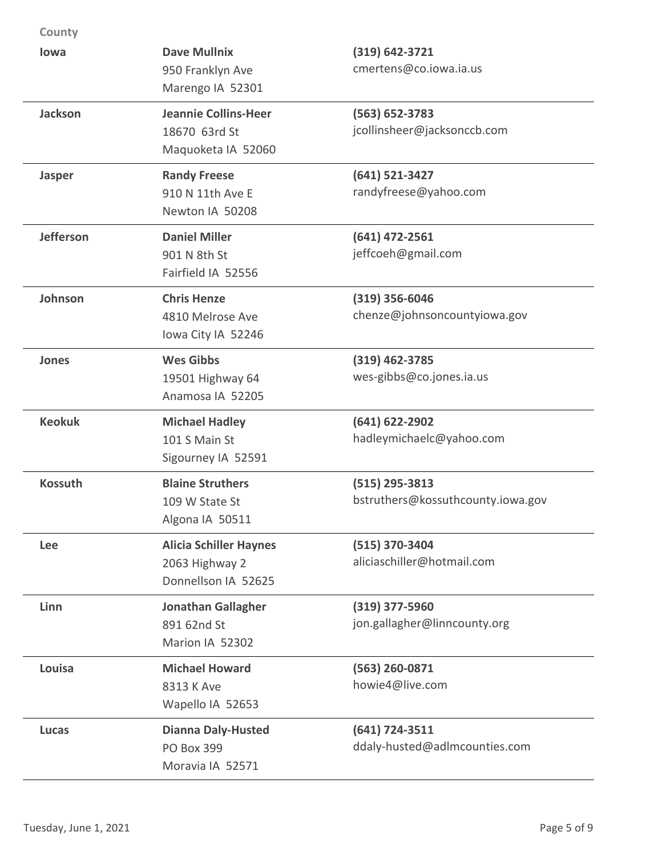| County           |                                                                        |                                                       |
|------------------|------------------------------------------------------------------------|-------------------------------------------------------|
| lowa             | <b>Dave Mullnix</b><br>950 Franklyn Ave<br>Marengo IA 52301            | $(319) 642 - 3721$<br>cmertens@co.iowa.ia.us          |
| <b>Jackson</b>   | <b>Jeannie Collins-Heer</b><br>18670 63rd St<br>Maquoketa IA 52060     | $(563) 652 - 3783$<br>jcollinsheer@jacksonccb.com     |
| <b>Jasper</b>    | <b>Randy Freese</b><br>910 N 11th Ave E<br>Newton IA 50208             | $(641) 521 - 3427$<br>randyfreese@yahoo.com           |
| <b>Jefferson</b> | <b>Daniel Miller</b><br>901 N 8th St<br>Fairfield IA 52556             | $(641)$ 472-2561<br>jeffcoeh@gmail.com                |
| Johnson          | <b>Chris Henze</b><br>4810 Melrose Ave<br>Iowa City IA 52246           | $(319)$ 356-6046<br>chenze@johnsoncountyiowa.gov      |
| Jones            | <b>Wes Gibbs</b><br>19501 Highway 64<br>Anamosa IA 52205               | $(319)$ 462-3785<br>wes-gibbs@co.jones.ia.us          |
| <b>Keokuk</b>    | <b>Michael Hadley</b><br>101 S Main St<br>Sigourney IA 52591           | $(641) 622 - 2902$<br>hadleymichaelc@yahoo.com        |
| <b>Kossuth</b>   | <b>Blaine Struthers</b><br>109 W State St<br>Algona IA 50511           | $(515)$ 295-3813<br>bstruthers@kossuthcounty.iowa.gov |
| <b>Lee</b>       | <b>Alicia Schiller Haynes</b><br>2063 Highway 2<br>Donnellson IA 52625 | (515) 370-3404<br>aliciaschiller@hotmail.com          |
| Linn             | <b>Jonathan Gallagher</b><br>891 62nd St<br>Marion IA 52302            | (319) 377-5960<br>jon.gallagher@linncounty.org        |
| Louisa           | <b>Michael Howard</b><br>8313 K Ave<br>Wapello IA 52653                | (563) 260-0871<br>howie4@live.com                     |
| <b>Lucas</b>     | <b>Dianna Daly-Husted</b><br><b>PO Box 399</b><br>Moravia IA 52571     | $(641)$ 724-3511<br>ddaly-husted@adlmcounties.com     |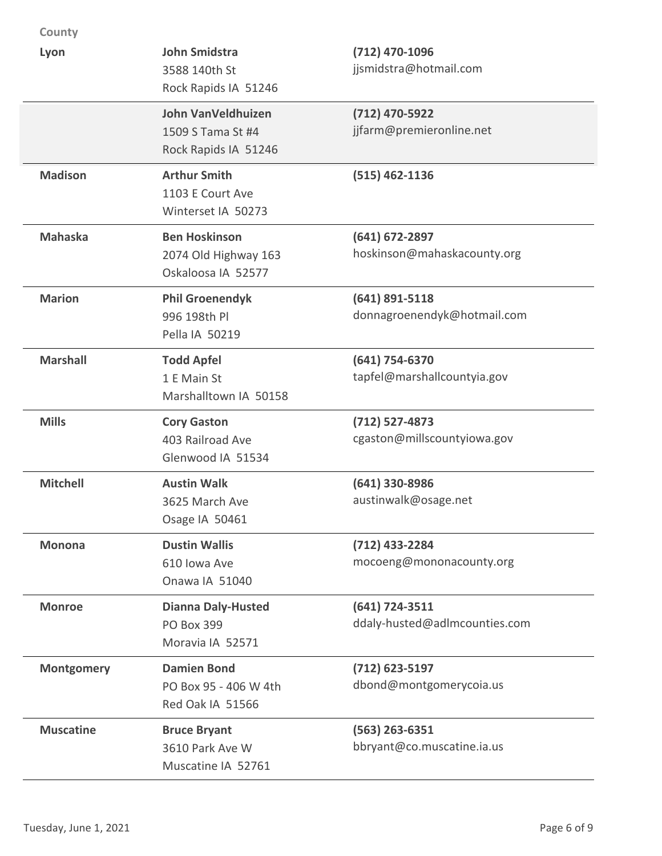| County            |                                                                        |                                                 |
|-------------------|------------------------------------------------------------------------|-------------------------------------------------|
| Lyon              | <b>John Smidstra</b><br>3588 140th St<br>Rock Rapids IA 51246          | (712) 470-1096<br>jjsmidstra@hotmail.com        |
|                   | <b>John VanVeldhuizen</b><br>1509 S Tama St #4<br>Rock Rapids IA 51246 | (712) 470-5922<br>jjfarm@premieronline.net      |
| <b>Madison</b>    | <b>Arthur Smith</b><br>1103 E Court Ave<br>Winterset IA 50273          | $(515)$ 462-1136                                |
| <b>Mahaska</b>    | <b>Ben Hoskinson</b><br>2074 Old Highway 163<br>Oskaloosa IA 52577     | $(641)$ 672-2897<br>hoskinson@mahaskacounty.org |
| <b>Marion</b>     | <b>Phil Groenendyk</b><br>996 198th Pl<br>Pella IA 50219               | $(641)$ 891-5118<br>donnagroenendyk@hotmail.com |
| <b>Marshall</b>   | <b>Todd Apfel</b><br>1 E Main St<br>Marshalltown IA 50158              | (641) 754-6370<br>tapfel@marshallcountyia.gov   |
| <b>Mills</b>      | <b>Cory Gaston</b><br>403 Railroad Ave<br>Glenwood IA 51534            | (712) 527-4873<br>cgaston@millscountyiowa.gov   |
| <b>Mitchell</b>   | <b>Austin Walk</b><br>3625 March Ave<br>Osage IA 50461                 | (641) 330-8986<br>austinwalk@osage.net          |
| <b>Monona</b>     | <b>Dustin Wallis</b><br>610 Iowa Ave<br>Onawa IA 51040                 | $(712)$ 433-2284<br>mocoeng@mononacounty.org    |
| <b>Monroe</b>     | <b>Dianna Daly-Husted</b><br><b>PO Box 399</b><br>Moravia IA 52571     | (641) 724-3511<br>ddaly-husted@adlmcounties.com |
| <b>Montgomery</b> | <b>Damien Bond</b><br>PO Box 95 - 406 W 4th<br>Red Oak IA 51566        | $(712)$ 623-5197<br>dbond@montgomerycoia.us     |
| <b>Muscatine</b>  | <b>Bruce Bryant</b><br>3610 Park Ave W<br>Muscatine IA 52761           | $(563)$ 263-6351<br>bbryant@co.muscatine.ia.us  |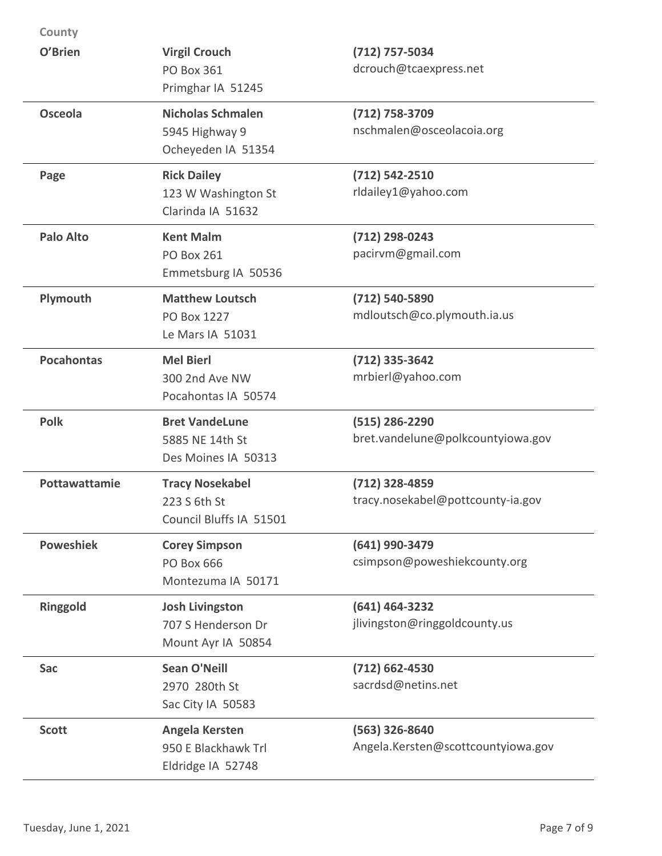| County            |                                                                    |                                                        |
|-------------------|--------------------------------------------------------------------|--------------------------------------------------------|
| O'Brien           | <b>Virgil Crouch</b><br><b>PO Box 361</b><br>Primghar IA 51245     | (712) 757-5034<br>dcrouch@tcaexpress.net               |
| <b>Osceola</b>    | <b>Nicholas Schmalen</b><br>5945 Highway 9<br>Ocheyeden IA 51354   | $(712) 758 - 3709$<br>nschmalen@osceolacoia.org        |
| Page              | <b>Rick Dailey</b><br>123 W Washington St<br>Clarinda IA 51632     | $(712) 542 - 2510$<br>rldailey1@yahoo.com              |
| <b>Palo Alto</b>  | <b>Kent Malm</b><br><b>PO Box 261</b><br>Emmetsburg IA 50536       | (712) 298-0243<br>pacirvm@gmail.com                    |
| Plymouth          | <b>Matthew Loutsch</b><br>PO Box 1227<br>Le Mars IA 51031          | (712) 540-5890<br>mdloutsch@co.plymouth.ia.us          |
| <b>Pocahontas</b> | <b>Mel Bierl</b><br>300 2nd Ave NW<br>Pocahontas IA 50574          | $(712)$ 335-3642<br>mrbierl@yahoo.com                  |
| <b>Polk</b>       | <b>Bret VandeLune</b><br>5885 NE 14th St<br>Des Moines IA 50313    | $(515)$ 286-2290<br>bret.vandelune@polkcountyiowa.gov  |
| Pottawattamie     | <b>Tracy Nosekabel</b><br>223 S 6th St<br>Council Bluffs IA 51501  | $(712)$ 328-4859<br>tracy.nosekabel@pottcounty-ia.gov  |
| <b>Poweshiek</b>  | <b>Corey Simpson</b><br><b>PO Box 666</b><br>Montezuma IA 50171    | (641) 990-3479<br>csimpson@poweshiekcounty.org         |
| <b>Ringgold</b>   | <b>Josh Livingston</b><br>707 S Henderson Dr<br>Mount Ayr IA 50854 | $(641)$ 464-3232<br>jlivingston@ringgoldcounty.us      |
| Sac               | <b>Sean O'Neill</b><br>2970 280th St<br>Sac City IA 50583          | $(712)$ 662-4530<br>sacrdsd@netins.net                 |
| <b>Scott</b>      | Angela Kersten<br>950 E Blackhawk Trl<br>Eldridge IA 52748         | $(563)$ 326-8640<br>Angela.Kersten@scottcountyiowa.gov |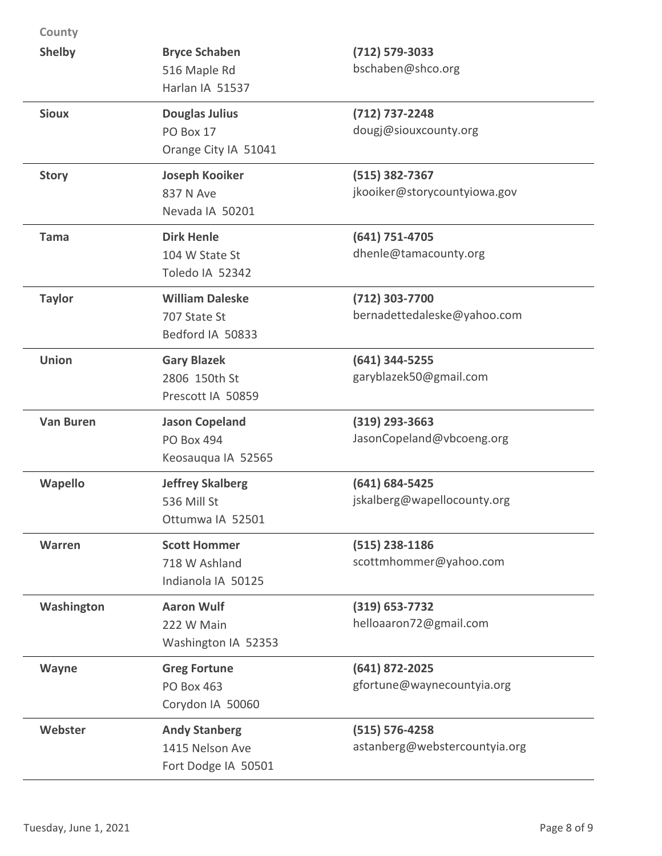| County           |                                                                  |                                                     |
|------------------|------------------------------------------------------------------|-----------------------------------------------------|
| <b>Shelby</b>    | <b>Bryce Schaben</b><br>516 Maple Rd<br>Harlan IA 51537          | $(712) 579 - 3033$<br>bschaben@shco.org             |
| <b>Sioux</b>     | <b>Douglas Julius</b><br>PO Box 17<br>Orange City IA 51041       | $(712) 737 - 2248$<br>dougj@siouxcounty.org         |
| <b>Story</b>     | <b>Joseph Kooiker</b><br>837 N Ave<br>Nevada IA 50201            | $(515)$ 382-7367<br>jkooiker@storycountyiowa.gov    |
| Tama             | <b>Dirk Henle</b><br>104 W State St<br>Toledo IA 52342           | $(641) 751 - 4705$<br>dhenle@tamacounty.org         |
| <b>Taylor</b>    | <b>William Daleske</b><br>707 State St<br>Bedford IA 50833       | (712) 303-7700<br>bernadettedaleske@yahoo.com       |
| <b>Union</b>     | <b>Gary Blazek</b><br>2806 150th St<br>Prescott IA 50859         | $(641)$ 344-5255<br>garyblazek50@gmail.com          |
| <b>Van Buren</b> | <b>Jason Copeland</b><br><b>PO Box 494</b><br>Keosauqua IA 52565 | $(319)$ 293-3663<br>JasonCopeland@vbcoeng.org       |
| Wapello          | <b>Jeffrey Skalberg</b><br>536 Mill St<br>Ottumwa IA 52501       | $(641) 684 - 5425$<br>jskalberg@wapellocounty.org   |
| Warren           | <b>Scott Hommer</b><br>718 W Ashland<br>Indianola IA 50125       | $(515)$ 238-1186<br>scottmhommer@yahoo.com          |
| Washington       | <b>Aaron Wulf</b><br>222 W Main<br>Washington IA 52353           | $(319) 653 - 7732$<br>helloaaron72@gmail.com        |
| Wayne            | <b>Greg Fortune</b><br><b>PO Box 463</b><br>Corydon IA 50060     | $(641)$ 872-2025<br>gfortune@waynecountyia.org      |
| Webster          | <b>Andy Stanberg</b><br>1415 Nelson Ave<br>Fort Dodge IA 50501   | $(515) 576 - 4258$<br>astanberg@webstercountyia.org |